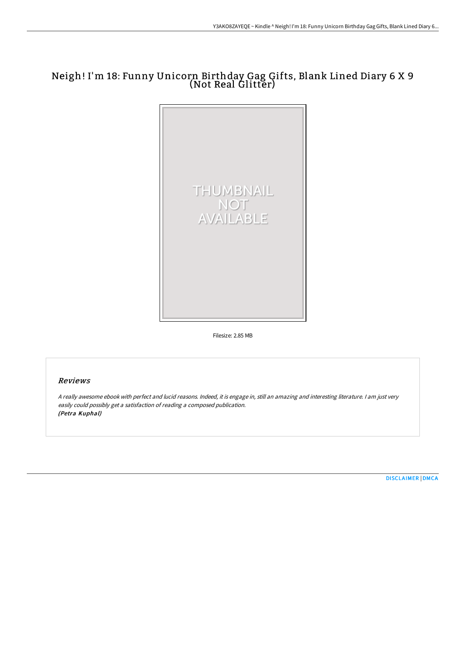# Neigh! I'm 18: Funny Unicorn Birthday Gag Gifts, Blank Lined Diary 6 X 9 (Not Real Glitter)



Filesize: 2.85 MB

## Reviews

<sup>A</sup> really awesome ebook with perfect and lucid reasons. Indeed, it is engage in, still an amazing and interesting literature. <sup>I</sup> am just very easily could possibly get <sup>a</sup> satisfaction of reading <sup>a</sup> composed publication. (Petra Kuphal)

[DISCLAIMER](http://www.bookdirs.com/disclaimer.html) | [DMCA](http://www.bookdirs.com/dmca.html)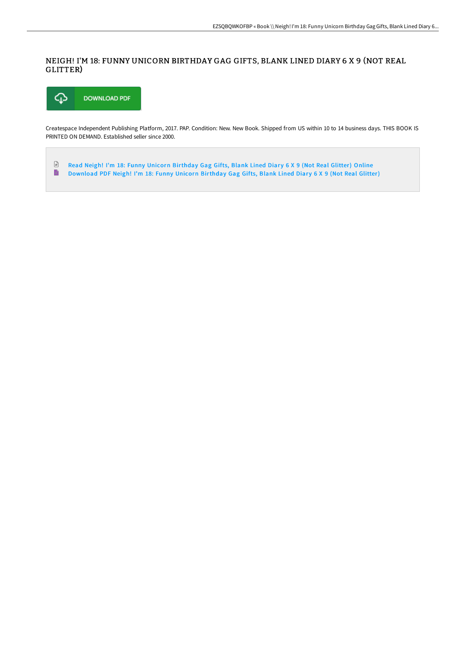### NEIGH! I'M 18: FUNNY UNICORN BIRTHDAY GAG GIFTS, BLANK LINED DIARY 6 X 9 (NOT REAL GLITTER)



Createspace Independent Publishing Platform, 2017. PAP. Condition: New. New Book. Shipped from US within 10 to 14 business days. THIS BOOK IS PRINTED ON DEMAND. Established seller since 2000.

 $\ensuremath{\mathop\square}\xspace$ Read Neigh! I'm 18: Funny Unicorn [Birthday](http://www.bookdirs.com/neigh-i-x27-m-18-funny-unicorn-birthday-gag-gift.html) Gag Gifts, Blank Lined Diary 6 X 9 (Not Real Glitter) Online  $\blacksquare$ [Download](http://www.bookdirs.com/neigh-i-x27-m-18-funny-unicorn-birthday-gag-gift.html) PDF Neigh! I'm 18: Funny Unicorn Birthday Gag Gifts, Blank Lined Diary 6 X 9 (Not Real Glitter)